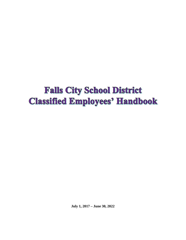# **Falls City School District Classified Employees' Handbook**

**July 1, 2017 – June 30, 2022**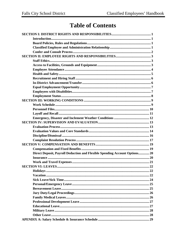## **Table of Contents**

| Direct Deposit, Payroll Deduction and Flexible Spending Account Options 20 |
|----------------------------------------------------------------------------|
|                                                                            |
|                                                                            |
|                                                                            |
|                                                                            |
|                                                                            |
|                                                                            |
|                                                                            |
|                                                                            |
|                                                                            |
|                                                                            |
|                                                                            |
|                                                                            |
|                                                                            |
|                                                                            |
|                                                                            |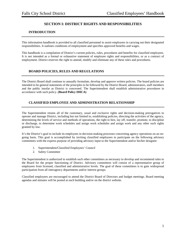## **SECTION I: DISTRICT RIGHTS AND RESPONSIBILITIES**

## **INTRODUCTION**

This information handbook is provided to all classified personnel to assist employees in carrying out their designated responsibilities. It outlines conditions of employment and specifies approved benefits and wages.

This handbook is a compilation of District's current policies, rules, procedures and benefits for classified employees. It is not intended as a formal or exhaustive statement of employee rights and responsibilities, or as a contract of employment. District reserves the right to amend, modify and eliminate any of these rules and procedures.

## **BOARD POLICIES, RULES AND REGULATIONS**

The District Board shall continue to annually formulate, develop and approve written policies. The board policies are intended to be general statements of the principles to be followed by the District Board, administrators, staff members and the public insofar as District is concerned. The Superintendent shall establish administrative procedures in accordance with such policy. **(Board Policy DHCA)**

## **CLASSIFIED EMPLOYEE AND ADMINISTRATION RELATIONSHIP**

The Superintendent retains all of the customary, usual and exclusive rights and decision-making prerogatives to operate and manage District, including but not limited to, establishing policies, directing the activities of the agency, determining the levels of service and methods of operations, the right to hire, lay off, transfer, promote, to discipline or discharge, to determine work schedules and assign work schedules and assign work and any other such rights granted by law.

It's the District's goal to include its employees in decision-making processes concerning agency operations on an ongoing basis. This goal is accomplished by inviting classified employees to participate on the following advisory committees with the express purpose of providing advisory input to the Superintendent and/or his/her designee:

- 1. Superintendent/Classified Employees' Council
- 2. Safety Committee

The Superintendent is authorized to establish such other committees as necessary to develop and recommend rules to the Board for the proper functioning of District. Advisory committees will consist of a representative group of employees from licensed, classified and administrative levels. The goal of these committees is to gain widespread participation from all interagency departments and/or interest groups.

Classified employees are encouraged to attend the District Board of Directors and budget meetings. Board meeting agendas and minutes will be posted at each building and/or on the district website.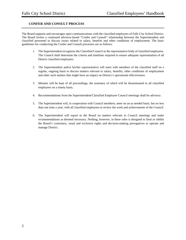## **CONFER AND CONSULT PROCESS**

The Board supports and encourages open communications with the classified employees of Falls City School District. The Board invites a continued advisory-based "Confer and Consult" relationship between the Superintendent and classified personnel to discuss issues related to salary, benefits and other conditions of employment. The basic guidelines for conducting the Confer and Consult processes are as follows:

- 1. The Superintendent recognizes the Classified Council as the representative body of classified employees. The Council shall determine the criteria and timelines required to ensure adequate representation of all District classified employees.
- 2. The Superintendent and/or his/her representative will meet with members of the classified staff on a regular, ongoing basis to discuss matters relevant to salary, benefits, other conditions of employment and other such matters that might have an impact on District's operational effectiveness.
- 3. Minutes will be kept of all proceedings, the summary of which will be disseminated to all classified employees on a timely basis.
- 4. Recommendations from the Superintendent/Classified Employee Council meetings shall be advisory.
- 5. The Superintendent will, in cooperation with Council members, meet on an as needed basis, but no less than one time a year, with all classified employees to review the work and achievements of the Council.
- 6. The Superintendent will report to the Board on matters relevant to Council meetings and make recommendations as deemed necessary. Nothing, however, in these rules is designed to limit or inhibit the Board's customary, usual and exclusive rights and decision-making prerogatives to operate and manage District.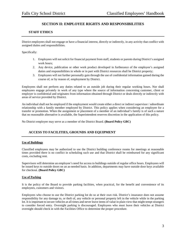## **SECTION II: EMPLOYEE RIGHTS AND RESPONSIBILITIES**

## **STAFF ETHICS**

District employees shall not engage or have a financial interest, directly or indirectly, in any activity that conflict with assigned duties and responsibilities.

Specifically:

- 1. Employees will not solicit for financial payment from staff, students or parents during District's assigned work hours;
- 2. Any device, publication or other work product developed in furtherance of the employee's assigned duties and responsibilities in whole or in part with District resources shall be District property;
- 3. Employees will not further personally gain through the use of confidential information gained during the course of, or by reason of, employment by District.

Employees shall not perform any duties related to an outside job during their regular working hours. Nor shall employees engage privately in work of any type where the source of information concerning customer, client or employer is confidential and originates from information obtained through District or deals directly or indirectly with areas of service provided by District.

An individual shall not be employed if the employment would create either a direct or indirect supervisor / subordinate relationship with a family member employed by District. This policy applies when considering an employee for a transfer or promotion. When the assignment or placement of a member of an individual's family is of such a nature that no reasonable alternative is available, the Superintendent reserves discretion in the application of this policy.

No District employee may serve as a member of the District Board. **(Board Policy GBC)**

## **ACCESS TO FACILITIES, GROUNDS AND EQUIPMENT**

## **Use of Buildings**

Classified employees may be authorized to use the District building conference rooms for meetings at reasonable times provided there is no conflict in scheduling such use and that District shall be reimbursed for any significant costs, excluding rent.

Supervisors will determine an employee's need for access to buildings outside of regular office hours. Employees will be issued keys to outside doors on an as-needed basis. In addition, departments may have outside door keys available for checkout. **(Board Policy GBC)**

## **Use of Parking**

It is the policy of the Board to provide parking facilities, when practical, for the benefit and convenience of its employees, customers and visitors.

Employees who choose to use the District parking lot do so at their own risk. District's insurance does not assume responsibility for any damage to, or theft of, any vehicle or personal property left in the vehicle while in the parking lot. It is important to secure vehicles at all times and never leave items of value in plain view that might tempt strangers to consider forced entry. Overnight parking is discouraged. Employees who must leave their vehicles at District overnight should check in with the Facilities Office to determine the proper procedure.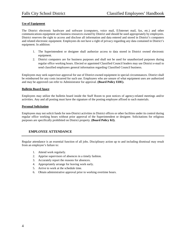#### **Use of Equipment**

The District electronic hardware and software (computers, voice mail, E/Internet mail, fax, etc.) and other communications equipment are business resources owned by District and should be used appropriately by employees. District reserves the right to access and disclose all information and data entered and stored in District's computers and related electronic equipment. Employees do not have a right of privacy regarding any data contained in District's equipment. In addition:

- 1. The Superintendent or designee shall authorize access to data stored in District owned electronic equipment.
- 2. District computers are for business purposes and shall not be used for unauthorized purposes during regular office working hours. Elected or appointed Classified Council leaders may use District e-mail to send classified employees general information regarding Classified Council business.

Employees may seek supervisor approval for use of District-owned equipment in special circumstances. District shall be reimbursed for any costs incurred for such use. Employees who are unsure of what equipment uses are authorized and may be approved can refer to Administrator for approval. **(Board Policy EDE).**

#### **Bulletin Board Space**

Employees may utilize the bulletin board inside the Staff Room to post notices of agency-related meetings and/or activities. Any and all posting must have the signature of the posting employee affixed to such materials.

#### **Personal Solicitation**

Employees may not solicit funds for non-District activities in District offices or other facilities under its control during regular office working hours without prior approval of the Superintendent or designee. Solicitations for religious purposes are specifically prohibited on District property. **(Board Policy KI).** 

## **EMPLOYEE ATTENDANCE**

Regular attendance is an essential function of all jobs. Disciplinary action up to and including dismissal may result from an employee's failure to:

- 1. Attend work regularly.
- 2. Apprise supervisors of absences in a timely fashion.
- 3. Accurately report the reasons for absences.
- 4. Appropriately arrange for leaving work early.
- 5. Arrive to work at the schedule time.
- 6. Obtain administrative approval prior to working overtime hours.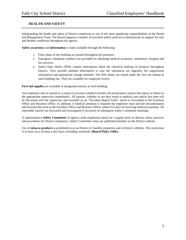## **HEALTH AND SAFETY**

Safeguarding the health and safety of District employees is one of the most significant responsibilities of the Board and Management Team. The Board supports a number of activities and/or policies to demonstrate its support for safe and healthy conditions throughout the agency.

**Safety awareness** and **information** is made available through the following:

- 1. Floor plans of the building are posted throughout the premises.
- 2. Emergency telephone numbers are provided for obtaining medical assistance, ambulance, hospital and fire services.
- 3. Safety Data Sheets (SDS) contain information about the chemical makeup of products throughout District. They provide antidote information in case the substances are ingested, fire suppression information and appropriate storage methods. The SDS sheets are stored under the first aid cabinet at each building site. They are available for employee review.

**First aid supplies** are available at designated stations at each building.

Any employee who is injured as a result of activities related to his/her job performance reports that injury or illness to the appropriate supervisor immediately. All injuries, whether or not they result in medical care and/or lost time will be discussed with the supervisor and recorded on an "Accident Report Form" which is forwarded to the Facilities Office and Business Office. In addition, if medical attention is required the employee must provide documentation and forward that form to the Facilities Office and Business Office within five days of receiving medical treatment. All reportable injuries are discussed and investigated if necessary at subsequent Safety Committee meetings.

A representative **Safety Committee** of agency-wide employees meets on a regular basis to discuss safety practices and procedures for District employees. Safety Committee notes are published monthly on the District website.

Use of **tobacco products** is prohibited in or on District or Satellite properties and in District vehicles. This restriction is in force on a 24-hour a day basis, including weekends. **(Board Policy GBK).**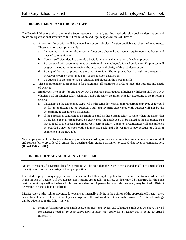## **RECRUITMENT AND HIRING STAFF**

The Board of Directors will authorize the Superintendent to identify staffing needs, develop position descriptions and create an organizational structure to fulfill the mission and legal responsibilities of District.

- 1. A position description will be created for every job classification available to classified employees. Those position descriptions will:
	- a. Include, as a minimum, the essential functions, physical and mental requirements, authority and lines of communication.
	- b. Contain sufficient detail to provide a basis for the annual evaluation of each employee.
	- c. Be reviewed with every employee at the time of the employee's formal evaluation. Employees will be given the opportunity to review the accuracy and clarity of that job description.
	- d. Be signed by the employee at the time of review. The employee has the right to annotate any perceived errors on the signed copy of the position description.
	- e. Be attached to the employee's evaluation and placed in the personnel file.
- 2. The Superintendent is responsible for assigning staff members in order to meet the interests and needs of District.
- 3. Employees who apply for and are awarded a position that requires a higher or different skill set AND which is paid on a higher salary schedule will be placed on the salary schedule according to the following criteria:
	- a. Placement on the experience steps will be the same determination for a current employee as it would be for an applicant new to District. Total employment experience with District will not be the determining factor for step placement.
	- b. If the successful candidate is an employee and his/her current salary is higher than the salary that would have been awarded based on experience, the employee will be placed at the experience step that is equal to or exceeds that employee's current salary. Under no circumstances will an employee be awarded a new position with a higher pay scale and a lower rate of pay because of a lack of experience in the new job.

New employees will be placed on the salary schedule according to their experience in comparable positions of skill and responsibility up to level 3 unless the Superintendent grants permission to exceed that level of compensation. **(Board Policy GDC)**

## **IN-DISTRICT ADVANCEMENT/TRANSFER**

Notices of vacancy for District classified positions will be posted on the District website and an all staff email at least five (5) days prior to the closing of the open position.

Interested employees may apply for any open position by following the application procedure requirements described in the Notice of Vacancy. If two District applications are equally qualified, as determined by District, for the open position, seniority shall be the basis for further consideration. A person from outside the agency may be hired if District determines he/she is better qualified.

District reserves the right to advertise for vacancies internally only if, in the opinion of the appropriate Director, there is a sufficient number of current employees who possess the skills and the interest in the program. All internal postings will be advertised in the following way:

1. Regular full and part-time employees, temporary employees, and substitute employees who have worked for District a total of 10 consecutive days or more may apply for a vacancy that is being advertised internally.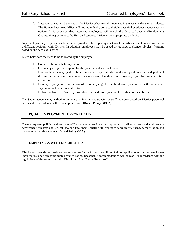2. Vacancy notices will be posted on the District Website and announced in the usual and customary places. The Human Resources Office will not individually contact eligible classified employees about vacancy notices. It is expected that interested employees will check the District Website (Employment Opportunities) or contact the Human Resources Office or the appropriate work site.

Any employee may request consideration for possible future openings that would be advancement and/or transfer to a different position within District. In addition, employees may be asked or required to change job classifications based on the needs of District.

Listed below are the steps to be followed by the employee:

- 1. Confer with immediate supervisor.
- 2. Obtain copy of job description for the position under consideration.
- 3. Discuss the necessary qualifications, duties and responsibilities of desired position with the department director and immediate supervisor for assessment of abilities and ways to prepare for possible future advancement.
- 4. Develop a program of work toward becoming eligible for the desired position with the immediate supervisor and department director.
- 5. Follow the Notice of Vacancy procedure for the desired position if qualifications can be met.

The Superintendent may authorize voluntary or involuntary transfer of staff members based on District personnel needs and in accordance with District procedures. **(Board Policy GDCA)**

## **EQUAL EMPLOYMENT OPPORTUNITY**

The employment policies and practices of District are to provide equal opportunity to all employees and applicants in accordance with state and federal law, and treat them equally with respect to recruitment, hiring, compensation and opportunity for advancement. (**Board Policy GBA)**

## **EMPLOYEES WITH DISABILITIES**

District will provide reasonable accommodations for the known disabilities of all job applicants and current employees upon request and with appropriate advance notice. Reasonable accommodations will be made in accordance with the regulations of the Americans with Disabilities Act. **(Board Policy AC)**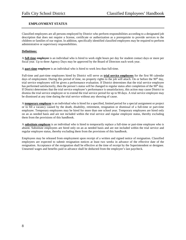## **EMPLOYMENT STATUS**

Classified employees are all persons employed by District who perform responsibilities according to a designated job description that does not require a license, certificate or authorization as a prerequisite to provide services to the children or families of our region. In addition, specifically identified classified employees may be required to perform administrative or supervisory responsibilities.

#### **Definitions:**

A **full-time employee** is an individual who is hired to work eight hours per day for student contact days or more per fiscal year. Up to three Agency Days may be approved by the Board of Directors each work year.

A **part-time employee** is an individual who is hired to work less than full-time.

Full-time and part-time employees hired by District will serve as **trial service employees** for the first 90 calendar days of employment. During this period of time, no property rights to the job will attach. On or before the  $90<sup>th</sup>$  day, trial service employees will be given a performance evaluation. If District determines that the trial service employee has performed satisfactorily, then the person's status will be changed to regular status after completion of the 90<sup>th</sup> day. If District determines that the trial service employee's performance is unsatisfactory, this action may cause District to dismiss the trial service employee or to extend the trial service period for up to 90 days. A trial service employee may be dismissed at any time during the trial service without any showing of cause.

A **temporary employee** is an individual who is hired for a specified, limited period for a special assignment or project or to fill a vacancy caused by the death, disability, retirement, resignation or dismissal of a full-time or part-time employee. Temporary employees may be hired for more than one school year. Temporary employees are hired only on an as needed basis and are not included within the trial service and regular employee status, thereby excluding them from the provisions of this handbook.

A **substitute employee** is an individual who is hired to temporarily replace a full-time or part-time employee who is absent. Substitute employees are hired only on an as needed basis and are not included within the trial service and regular employee status, thereby excluding them from the provisions of this handbook.

Employees may be released from employment upon receipt of a written and signed notice of resignation. Classified employees are expected to submit resignation notices at least two weeks in advance of the effective date of the resignation. Acceptance of the resignation shall be effective at the time of receipt by the Superintendent or designee. Unearned wages and benefits paid in advance shall be deducted from the employee's last paycheck.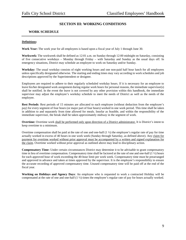## **SECTION III: WORKING CONDITIONS**

## **WORK SCHEDULE**

#### **Definitions:**

**Work Year:** The work year for all employees is based upon a fiscal year of July 1 through June 30.

**Workweek:** The workweek shall be defined as 12:01 a.m. on Sunday through 12:00 midnight on Saturday, consisting of five consecutive workdays – Monday through Friday – with Saturday and Sunday as the usual days off. In emergency situations, District may schedule an employee to work on Saturday and/or Sunday.

**Workday:** The usual workday consists of eight working hours and one non-paid half hour lunch for all employees unless specifically designated otherwise. The starting and ending times may vary according to work schedules and job descriptions approved by the Superintendent or designee.

Employees are required to adhere to their regularly scheduled workday hours. If it is necessary for an employee to leave his/her designated work assignment during regular work hours for personal reasons, the immediate supervisor(s) shall be notified. In the event the leave is not covered by any other provision within this handbook, the immediate supervisor may adjust the employee's workday schedule to meet the needs of District as well as the needs of the employee.

**Rest Periods**: Rest periods of 15 minutes are allocated to each employee (without deduction from the employee's pay) for every segment of four hours (or major part of four hours) worked in one work period. This time shall be taken in addition to and separately from time allowed for meals. Insofar as feasible, and within the responsibility of the immediate supervisor, the break shall be taken approximately midway in the segment of work.

**Overtime:** Overtime work shall be performed only upon direction of a District administrator. It is District's intent to keep overtime to a minimum.

Overtime compensation shall be paid at the rate of one and one-half  $(1 \frac{1}{2})$  the employee's regular rate of pay for time actually worked in excess of 40 hours in one work week (Sunday through Saturday, as defined above). Any claim for payment for overtime worked without prior approval must be accompanied by a written and signed explanation for the claim. Overtime worked without prior approval as outlined above may lead to disciplinary action.

**Compensatory Time:** Under certain circumstances District may determine it to be advisable to grant compensatory time in lieu of overtime compensation. Compensatory time shall be factored at the rate of one and one-half (1 ½) hours for each approved hour of work exceeding the 40-hour limit per work week. Compensatory time must be prearranged and approved in advance and taken at times approved by the supervisor. It is the employee's responsibility to ensure the accurate recording of approved compensatory time. Unused compensatory time will be paid off at the end of the fiscal year.

**Working on Holidays and Agency Days**: An employee who is requested to work a contracted Holiday will be compensated at the rate of one and one-half (1 ½) times the employee's regular rate of pay for hours actually worked.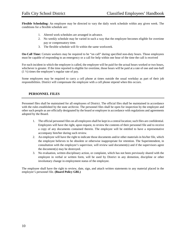**Flexible Scheduling:** An employee may be directed to vary the daily work schedule within any given week. The conditions for a flexible schedule are:

- 1. Altered work schedules are arranged in advance.
- 2. No weekly schedule may be varied in such a way that the employee becomes eligible for overtime pay or compensatory time.
- 3. The flexible schedule will fit within the same workweek.

**On-Call Time:** Certain workers may be required to be "on call" during specified non-duty hours. Those employees must be capable of responding to an emergency or a call for help within one hour of the time the call is received

For each incident in which the employee is called, the employee will be paid for the actual hours worked or two hours, whichever is greater. If the time reported is eligible for overtime, those hours will be paid at a rate of one and one-half (1 ½) times the employee's regular rate of pay.

Some employees may be required to carry a cell phone at times outside the usual workday as part of their job responsibilities. District will compensate the employee with a cell phone stipend when this occurs.

## **PERSONNEL FILES**

Personnel files shall be maintained for all employees of District. The official files shall be maintained in accordance with the rules established by the state archivist. The personnel files shall be open for inspection by the employee and other such people as are officially designated by the board or employee in accordance with regulations and agreements adopted by the Board.

- 1. The official personnel files on all employees shall be kept in a central location; such files are confidential. Employees will have the right, upon request, to review the contents of their personnel file and to receive a copy of any documents contained therein. The employee will be entitled to have a representative accompany him/her during such review.
- 2. An employee will have the right to indicate those documents and/or other materials in his/her file, which the employee believes to be obsolete or otherwise inappropriate for retention. The Superintendent, in consultation with the employee's supervisor, will review said document(s) and if the supervisors agree the document(s) may be destroyed.
- 3. No evaluation, written disciplinary action, or complaint, which has not been previously shared with the employee in verbal or written form, will be used by District in any demotion, discipline or other involuntary change in employment status of the employee.

The employee shall have the right to review, date, sign, and attach written statements to any material placed in the employee's personnel file. **(Board Policy GBL)**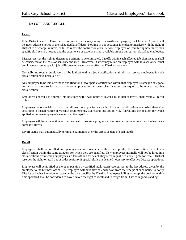## **LAYOFF AND RECALL**

## **Layoff**

If the District Board of Directors determines it is necessary to lay off classified employees, the Classified Council will be given advance notice of the scheduled layoff dates. Nothing in this section is intended to interfere with the right of District to discharge, remove, or fail to renew the contract on a trial service employee or from hiring new staff when specific skill sets are needed and the experience or expertise is not available among our current classified employees.

District reserves the right to determine positions to be eliminated. Layoffs within each affected job classification shall be considered on the basis of seniority and merit. However, District may retain an employee with less seniority if that employee possesses special job skills deemed necessary to effective District operations.

Normally, no regular employee shall be laid off within a job classification until all trial service employees in such classification have been laid off.

Any employee to be laid off who is qualified for a lower paid classification within that employee's same job category, and who has more seniority than another employee in the lower classification, can request to be moved into that classification.

Employees choosing to "bump" into positions with fewer hours or lower pay, in lieu of layoff, shall retain all recall rights.

Employees who are laid off shall be allowed to apply for vacancies in other classifications occurring thereafter according to posted Notice of Vacancy requirements. Exercising this option will, if hired into the position for which applied, eliminate employee's name from the layoff list.

Employees will have the option to continue health insurance programs at their own expense to the extent the insurance company allows.

Layoff status shall automatically terminate 12 months after the effective date of such layoff.

#### **Recall**

Employees shall be recalled as openings become available within their pre-layoff classification or a lower classification within the same category for which they are qualified. New employees normally will not be hired into classifications from which employees are laid off and for which they remain qualified and eligible for recall. District reserves the right to recall out of order seniority if special skills are deemed necessary to effective District operations.

Employees will be notified of the open position by certified mail, return receipt, sent to the last address given by the employee to the business office. The employee will have five calendar days from the receipt of such notice to notify District of his/her intention to return on the date specified by District. Employees failing to accept the position within time specified shall be considered to have waived the right to recall and to resign from District in good standing.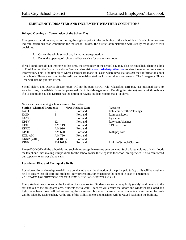## **EMERGENCY, DISASTER AND INCLEMENT WEATHER CONDITIONS**

#### **Delayed Opening or Cancellation of the School Day**

Emergency conditions may occur during the night or prior to the beginning of the school day. If such circumstances indicate hazardous road conditions for the school busses, the district administration will usually make one of two decisions.

- 1. Cancel the whole school day including transportation.
- 2. Delay the opening of school and bus service for one or two hours.

If road conditions do not improve at that time, the remainder of the school day may also be cancelled. There is a link to FlashAlert on the District's website. You can also visit [www.flashalertportland.net](http://www.flashalertportland.net/) to view the most current closure information. This is the first place where changes are made; it is also where news stations get their information about our schools. Please also listen to the radio and television stations for special announcements. The Emergency Phone Tree will also be put into effect.

School delays and District closure hours will not be paid. (BOLI rule) Classified staff may use personal leave or vacation time, if available. Essential personnel (Facilities Manager and/or Building Secretaries) may work those hours if it is safe to do so. The District has the option of having student contact make-up days.

|                    | News stations receiving school closure information: |                          |                           |
|--------------------|-----------------------------------------------------|--------------------------|---------------------------|
|                    | <b>Station Channel/Frequency</b>                    | <b>News Release Zone</b> | Website                   |
| <b>KATU</b>        | 2                                                   | Portland                 | katu.com/weather/closings |
| <b>KOIN</b>        | 6                                                   | Portland                 | koinlocal6.com            |
| <b>KGW</b>         | 8                                                   | Portland                 | kgw.com                   |
| <b>KPTV</b>        | 12                                                  | Portland                 | kptv.com/closings         |
| <b>KEX</b>         | AM 1190                                             | Portland                 | 1190 kex.com              |
| <b>KFXX</b>        | AM 910                                              | Portland                 |                           |
| <b>KPOJ</b>        | AM 620                                              | Portland                 | 620kpoj.com               |
| <b>KXL AM</b>      | AM 750                                              | Portland                 |                           |
| <b>KKRZ (Z100)</b> | FM 100.3                                            | Portland                 |                           |
| <b>KINK</b>        | FM 101.9                                            | Portland                 | kink.fm/School-Closures   |

Please DO NOT call the school during such times except in extreme emergencies. Such a large volume of calls floods the telephone lines making it impossible for the school to use the telephone for school emergencies. It also can exceed our capacity to answer phone calls.

#### **Lockdown, Fire, and Earthquake Drills**

Lockdown, fire and earthquake drills are conducted under the direction of the principal. Safety drills will be routinely held to ensure that all staff and students know procedures for evacuating the school in case of emergency. *ALL STAFF ARE DIRECTED TO EXIT THE BUILDING DURING A DRILL.*

Every student needs to know the location of escape routes. Students are to move quickly (safely) and quietly to the exit and out to the designated area. Students are to walk. Teachers will ensure that doors and windows are closed and lights have been turned off before leaving the classroom. In order to ensure that all students are accounted for, role will be taken by each teacher. At the end of the drill, students and teachers will be waved back into the building.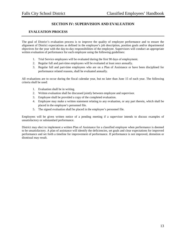## **SECTION IV: SUPERVISION AND EVALUATION**

## **EVALUATION PROCESS**

The goal of District's evaluation process is to improve the quality of employee performance and to ensure the alignment of District expectations as defined in the employee's job description, position goals and/or departmental objectives for the year with the day-to-day responsibilities of the employee. Supervisors will conduct an appropriate written evaluation of performance for each employee using the following guidelines:

- 1. Trial Service employees will be evaluated during the first 90 days of employment.
- 2. Regular full and part-time employees will be evaluated at least once annually.
- 3. Regular full and part-time employees who are on a Plan of Assistance or have been disciplined for performance related reasons, shall be evaluated annually.

All evaluations are to occur during the fiscal calendar year, but no later than June 15 of each year. The following criteria shall be used:

- 1. Evaluation shall be in writing.
- 2. Written evaluation shall be discussed jointly between employee and supervisor.
- 3. Employee shall be provided a copy of the completed evaluation.
- 4. Employee may make a written statement relating to any evaluation, or any part therein, which shall be placed in the employee's personnel file.
- 5. The signed evaluation shall be placed in the employee's personnel file.

Employees will be given written notice of a pending meeting if a supervisor intends to discuss examples of unsatisfactory or substandard performance.

District may elect to implement a written Plan of Assistance for a classified employee when performance is deemed to be unsatisfactory. A plan of assistance will identify the deficiencies, set goals and clear expectations for improved performance and set forth a timeline for improvement of performance. If performance is not improved, demotion or dismissal may result.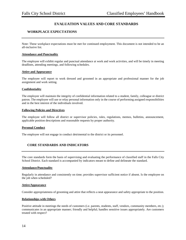## **EVALUATION VALUES AND CORE STANDARDS**

## **WORKPLACE EXPECTATIONS**

Note: These workplace expectations must be met for continued employment. This document is not intended to be an all-inclusive list.

#### **Attendance and Punctuality**

The employee will exhibit regular and punctual attendance at work and work activities, and will be timely in meeting deadlines, attending meetings, and following schedules.

#### **Attire and Appearance**

The employee will report to work dressed and groomed in an appropriate and professional manner for the job assignment and work setting.

#### **Confidentiality**

The employee will maintain the integrity of confidential information related to a student, family, colleague or district patron. The employee will use or relay personal information only in the course of performing assigned responsibilities and in the best interest of the individuals involved.

#### **Following Policies and Directives**

The employee will follow all district or supervisor policies, rules, regulations, memos, bulletins, announcement, applicable position descriptions and reasonable requests by proper authority.

#### **Personal Conduct**

The employee will not engage in conduct detrimental to the district or its personnel.

## **CORE STANDARDS AND INDICATORS**

The core standards form the basis of supervising and evaluating the performance of classified staff in the Falls City School District. Each standard is accompanied by indicators meant to define and delineate the standard.

#### **Attendance/Punctuality**

Regularly in attendance and consistently on time; provides supervisor sufficient notice if absent. Is the employee on the job when scheduled?

#### **Attire/Appearance**

Consider appropriateness of grooming and attire that reflects a neat appearance and safety appropriate to the position.

#### **Relationships with Others**

Positive attitude in meetings the needs of customers (i.e. parents, students, staff, vendors, community members, etc.); communicates in an appropriate manner; friendly and helpful; handles sensitive issues appropriately. Are customers treated with respect?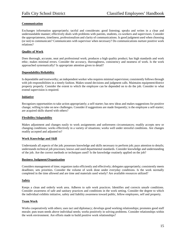#### **Communication**

Exchanges information appropriately; tactful and considerate; good listening; speaks and writes in a clear and understandable manner; effectively deals with problems with parents, students, co-workers and supervisors. Consider the appropriateness, timeliness, professionalism and clarity of communications. Is good judgment used when choosing (or not) to communicate? Communicates with supervisor when necessary? Do communications nurture positive work relations?

#### **Quality of Work**

Does thorough, accurate, neat and professional work; produces a high quality product; has high standards and work ethic; makes minimal errors. Consider the accuracy, thoroughness, consistency and neatness of work. Is the work approached systematically? Is appropriate attention given to detail?

#### **Dependability/Reliability**

Is dependable and trustworthy; an independent worker who requires minimal supervision; consistently follows through with job responsibilities in a timely fashion. Makes sound decisions and judgment calls. Maintains equipment/district property properly. Consider the extent to which the employee can be depended on to do the job. Consider to what extend supervision is required.

#### **Initiative**

Recognizes opportunities to take action appropriately; a self-starter; has new ideas and makes suggestions for positive change; willing to take on new challenges. Consider if suggestions are made frequently; is the employee a self-starter; are acquired skills shared with others?

#### **Flexibility/Adaptability**

Makes adjustment and changes easily to work assignments and unforeseen circumstances; readily accepts new or changing conditions; works effectively in a variety of situations; works well under stressful conditions. Are changes readily accepted and adjusted to?

#### **Work Knowledge and Skill**

Understands all aspects of the job; possesses knowledge and skills necessary to perform job; pays attention to details; understands technical job processes; knows and used departmental standards. Consider knowledge and understanding of the job. Are the correct methods or techniques used? Is the knowledge routinely applied on the job?

#### **Business Judgment/Organization**

Considers management of time; organizes tasks efficiently and effectively; delegates appropriately; consistently meets deadlines; sets priorities. Consider the volume of work done under everyday conditions. Is the work normally completed in the time allowed and are time and materials used wisely? Are available resources utilized?

#### **Safety**

Keeps a clean and orderly work area. Adheres to safe work practices. Identifies and corrects unsafe conditions. Consider awareness of safe and sanitary practices and conditions in the work setting. Consider the degree to which the individual exhibits initiative, safety and liability awareness toward public, fellow employees, self and property.

#### **Team Work**

Works cooperatively with others; uses tact and diplomacy; develops good working relationships; promotes good staff morale; puts team needs above individual needs; works positively in solving problems. Consider relationships within the work environment. Are efforts made to build positive work relationships?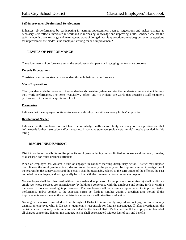#### **Self-Improvement/Professional Development**

Enhances job performance by participating in learning opportunities; open to suggestions and makes changes as necessary; self-reflects; interested in work and in increasing knowledge and improving skills. Consider whether the staff member is open to change and learning new ways of doing things; is appropriate attention given when suggestions for improvement are made; is the employee striving for self-improvement?

## **LEVELS OF PERFORMANCE**

These four levels of performance assist the employee and supervisor in gauging performance progress.

#### **Exceeds Expectations**

Consistently surpasses standards as evident through their work performance.

#### **Meets Expectations**

Clearly understands the concepts of the standards and consistently demonstrates their understanding as evident through their work performance. The terms "regularly", "often" and "is evident" are words that describe a staff member's performance at the meets expectations level.

#### **Progressing**

Indicates that the employee continues to learn and develop the skills necessary for his/her position.

#### **Development Needed**

Indicates that the employee does not have the knowledge, skills and/or ability necessary for their position and that he/she needs further instruction and/or mentoring. A narrative statement (evidence/example) must be provided for this rating

#### **DISCIPLINE/DISMISSAL**

District has the responsibility to discipline its employees including but not limited to non-renewal, removal, transfer, or discharge, for cause deemed sufficient.

When an employee has violated a rule or engaged in conduct meriting disciplinary action, District may impose discipline on the employee in which it deems proper. Normally, the penalty will be imposed after an investigation of the charges by the supervisor(s) and the penalty shall be reasonably related to the seriousness of the offense, the past record of the employee, and will generally be in line with the treatment afforded other employees.

No employee shall be dismissed without reasonable due process. An employee's supervisor(s) shall notify an employee whose services are unsatisfactory by holding a conference with the employee and setting forth in writing the areas of concern needing improvements. The employee shall be given an opportunity to improve his/her performance and/or conduct to the expected norms set forth to him/her within a specified time period. If the improvements are not made, the administrative supervisor shall take dismissal action.

Nothing in the above is intended to limit the right of District to immediately suspend without pay, and subsequently dismiss, an employee who, in District's judgment, is responsible for flagrant misconduct. If, after investigation, the decision is for dismissal, the termination date shall be the date of District's final action. If the employee is cleared of all charges concerning flagrant misconduct, he/she shall be reinstated without loss of pay and benefits.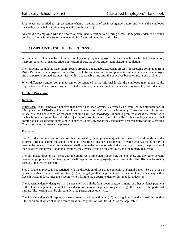Employees are entitled to representation when a meeting is of an investigative nature and where the employee reasonably fears that discipline may result from the meeting.

Any classified employee who is demoted or dismissed is entitled to a hearing before the Superintendent if a written petition is filed with the Superintendent within 15 days of demotion or dismissal.

## **COMPLAINT RESOLUTION PROCESS**

A complaint is a statement by a classified employee or group of employees that they have been subjected to a violation, misrepresentation, or inappropriate application of District policy and/or administrative regulation.

The following Complaint Resolution Process provides a reasonably expedient process for resolving complaints from District's classified employees. Every effort should be made to resolve complaints informally between the employee and that person's immediate supervisor within a reasonable time after the employee becomes aware of a problem.

When differences and/or complaints cannot be remedied at the informal levels, the employee may appeal to the Superintendent. These proceedings are treated as internal, personnel matters and as such are to be kept confidential.

#### **Levels of Procedure**

#### **Informal** –

Initial Step: If the employee believes that he/she has been adversely affected as a result of misinterpretation of misapplication of District policy or administrative regulation, he/she shall, within ten (10) working days of the time he/she first had knowledge, or reasonably should have had knowledge, of such a problem discuss the matter with his/her immediate supervisor with the objective of resolving the matter informally. If that employee does not feel comfortable discussing the complaint with his/her supervisor, he/she may ask to have a representative of the Classified Council or other representative present.

#### **Formal** –

Step 1: If the problem has not been resolved informally, the employee may, within fifteen (15) working days of the Informal Process, submit the stated complaint in writing to his/her departmental Director who has the authority to resolve the concern. The written statement shall include the facts upon which the complaint is based, the provision of the Classified Employee Handbook involved, the adverse effect on the employee, and the remedy requested.

The designated director may meet with the employee's immediate supervisor, the employee, and any other persons deemed appropriate by the director, and shall respond to the employee(s) in writing within ten (10) days following receipt of the written concern.

Step 2: If the employee is not satisfied with the disposition of the stated complaint at Formal Level – Step 1, or if no decision has been rendered within fifteen (15) working days after the presentation of the complaint, he/she may within five (5) working days, refer the issue in written form to the Superintendent or designee for a decision.

The Superintendent or designee shall be presented with all the facts, documents, testimony, or other evidence pertinent to the stated complaint(s), and at his/her discretion, may arrange a hearing involving all or some of the parties of interest. The hearing shall be closed unless the parties agree otherwise.

The Superintendent shall respond to the employee in writing within ten (10) working days from the date of the hearing – the decision of which shall be deemed final unless provisions of ORS 332.544 are applicable.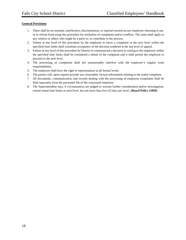#### **General Provisions**

- 1. There shall be no restraint, interference, discrimination, or reprisal exerted on any employee choosing to use, or to refrain from using this procedure for resolution of complaints and/or conflicts. The same shall apply to any witness or others who might be a party to, or contribute to the process.
- 2. Failure at any level of this procedure by the employee to move a complaint to the next level within the specified time limits shall constitute acceptance of the decision rendered at the last level of appeal.
- 3. Failure at any level of this procedure by District to communicate a decision in writing to the employee within the specified time limits shall be considered a denial of the complaint and it shall permit the employee to proceed to the next level.
- 4. The processing of complaints shall not unreasonably interfere with the employee's regular work responsibilities.
- 5. The employee shall have the right to representation at all formal levels.
- 6. The parties will, upon request provide any reasonable, factual information relating to the stated complaint.
- 7. All documents, communication, and records dealing with the processing of employee complaints shall be filed separately from the personnel file of the concerned employee.
- 8. The Superintendent may, if circumstances are judged to warrant further consideration and/or investigation, extend stated time limits at each level, but not more than five (5) days per level. (**Board Policy GBM)**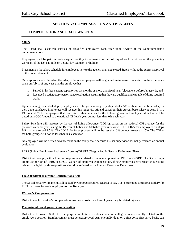## **SECTION V: COMPENSATION AND BENEFITS**

## **COMPENSATION AND FIXED BENEFITS**

#### **Salary**

The Board shall establish salaries of classified employees each year upon review of the Superintendent's recommendations.

Employees shall be paid in twelve equal monthly installments on the last day of each month or on the preceding workday, if the last day falls on a Saturday, Sunday, or holiday.

Placement on the salary schedule for employees new to the agency shall not exceed Step 3 without the express approval of the Superintendent.

Once appropriately placed on the salary schedule, employees will be granted an increase of one step on the experience scale on July 1 of any year that the employee has:

- 1. Served in his/her current capacity for six months or more that fiscal year (placement before January 1), and
- 2. Received a satisfactory performance evaluation assuring that they are qualified and capable of doing required work.

Upon reaching the end of step 9, employees will be given a longevity stipend of 2.5% of their current base salary in their June paycheck. Employees will receive this longevity stipend based on their current base salary at years 9, 14, 19, 24, and 29. For employees that reach step 9 their salaries for the following year and each year after that will be based on a COLA equal to the national CPI each year but not less than 0% each year.

Salary Schedule will increase by the cost of living allowance (COLA), based on the national CPI average for the previous calendar year, using the Bureau of Labor and Statistics year in review . The COLA for employees on steps 1-9 shall not exceed 2.5%. The COLA for 9+ employees will not be less than 3% but not greater than 5%. The COLA for both groups will not be less than 0% each year.

No employee will be denied advancement on the salary scale because his/her supervisor has not performed an annual evaluation.

#### PERS (Public Employees Retirement System)/OPSRP (Oregon Public Service Retirement Plan)

District will comply with all current requirements related to membership in either PERS or OPSRP. The District pays employee portion of PERS or OPSRP as part of employee compensation. If new employees have specific questions related to eligibility, those questions should be referred to the Human Resources Department.

#### **FICA (Federal Insurance Contributions Act)**

The Social Security Financing Bill passed by Congress requires District to pay a set percentage times gross salary for FICA purposes for each employee for the fiscal year.

#### **Worker's Compensation**

District pays for worker's compensation insurance costs for all employees for job related injuries.

#### **Professional Development Compensation**

District will provide \$500 for the purpose of tuition reimbursement of college courses directly related to the employee's position. Reimbursement must be preapproved. Any one individual, on a first come first serve basis, can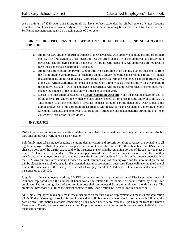use a maximum of \$250. After June 1, any funds that have not been expended for reimbursement of classes become available to employees who have already received this benefit. Any remaining funds revert back to District on June 30. Reimbursement contingent on a passing grade of C or better.

## **DIRECT DEPOSIT, PAYROLL DEDUCTION, & FLEXIBLE SPENDING ACCOUNT OPTIONS**

- 1. Employees are eligible for **Direct Deposit** of their paychecks with up to two banking institutions of their choice. The first signup is a trial period to test the direct deposit with the employee still receiving a paycheck. The following month's paycheck will be directly deposited. All employees are required to have their paychecks electronically deposited.
- 2. Employees are eligible for **Payroll Deduction** when enrolling in an annuity plan of their choice from the list of eligible vendors (i.e., tax sheltered annuity and/or federally sponsored 403-B and 457 plans) to accommodate employee requests. Appropriate paperwork from the employee's chosen representative, along with written authorization, must be submitted on a timely basis. Responsibility for the amount of the annuity rests solely with the employee in accordance with state and federal rules. The employee may change the amount of the deduction two times per calendar year.
- 3. District provides employee access to a **Flexible Spending Account** within the meaning of Section 123(d) of the Internal Revenue Code, which excludes chosen benefits from gross income under Section 125(a). This option is at the employee's personal expense through payroll deduction. District bears the administrative cost of this program. In accordance with federal laws and regulations governing Flexible Spending Accounts, and employee's failure to fully utilize the designated benefits during the Plan Year causes forfeiture of the unused dollars.

## **INSURANCE**

District makes certain insurance benefits available through District approved vendors to regular full-time and eligible part-time employees working 0.5 FTE or greater.

Full family medical insurance benefits, including dental, vision, and prescription drug coverage, are available to all regular employees. District dedicates a capped contribution toward the total cost of these benefits. If an HSA plan is chosen, a portion of the district cap is paid to the insurance plan(s) and the remaining portion of the cap may be placed in a HSA plan offered by the district. The amount paid toward the HSA and insurance cannot exceed the monthly benefit cap. An employee does not have to use the entire insurance benefit and may dictate the amount deposited into the HSA. Any current excess amount between the total insurance caps of the employee and the amount of premiums will be placed into a pool to be used for the classified insurance premiums if necessary. Funds will revert to the General fund at the conclusion of the fiscal year. The district will pay for STD, AD&D and LTD insurance and standard life insurance up to \$25,000.

Eligible part-time employees working 0.5 FTE or greater receive a prorated share of District provided medical insurance cap based upon the number of hours worked in relation to the number of hours worked by a full-time employee. The remaining share of the premium cost shall be deducted from the employee's monthly salary. The employee may choose to utilize the district contracted IRS Code Section 125 account for this deduction.

All eligible employees may apply for medical insurance on the first day of employment and must submit application within 30 days. Coverage starts for the employee and any eligible dependents on the first of the month following the date of hire. Information materials concerning all insurance benefits are available upon request from the Human Resources or District's current insurance carrier. Employees may contact the current insurance carrier individually for technical questions.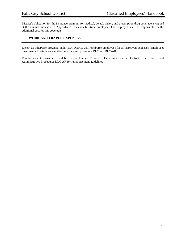District's obligation for the insurance premium for medical, dental, vision, and prescription drug coverage is capped at the amount indicated in Appendix A, for each full-time employee. The employee shall be responsible for the additional cost for this coverage.

## **WORK AND TRAVEL EXPENSES**

Except as otherwise provided under law, District will reimburse employees for all approved expenses. Employees must meet all criteria as specified in policy and procedure DLC and DLC-AR.

Reimbursement forms are available in the Human Resources Department and at District office. See Board Administrative Procedures DLC-AR for reimbursement guidelines.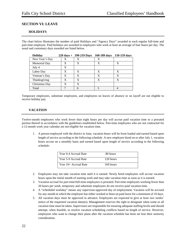## **SECTION VI: LEAVE**

## **HOLIDAYS**

The chart below illustrates the number of paid Holidays and "Agency Days" awarded to each regular full-time and part-time employee. Paid holidays are awarded to employees who work at least an average of four hours per day. The usual and customary days awarded are listed below.

| <b>Holiday</b> |   | $220 \text{ days} + 190 - 219 \text{ Days}$ | 160-189 days 110-159 days |   |
|----------------|---|---------------------------------------------|---------------------------|---|
| New Year's Day |   |                                             |                           |   |
| Memorial Day   | x | X                                           | X                         | Х |
| July 4         | X |                                             |                           |   |
| Labor Day      | х | X                                           | X                         | Х |
| Veteran's Day  | X | X                                           | X                         | X |
| Thanksgiving   | X | X                                           | X                         | X |
| Christmas Day  | х | X                                           |                           |   |
| Total          |   | 6                                           |                           |   |

Temporary employees, substitute employees, and employees on leaves of absence or on layoff are not eligible to receive holiday pay.

## **VACATION**

Twelve-month employees who work fewer than eight hours per day will accrue paid vacation time or a prorated portion thereof in accordance with the guidelines established below. Part-time employees who are not contracted for a 12-month work year calendar are not eligible for vacation time.

1. A person employed with the district in June, vacation hours will be front loaded and earned based upon length of service according to the following schedule. A new employee hired on or after July 1, vacation hours accrue on a monthly basis and earned based upon length of service according to the following schedule:

| Year 0-4 Accrual Rate | 80 hours  |
|-----------------------|-----------|
| Year 5-9 Accrual Rate | 120 hours |
| Year 10+ Accrual Rate | 160 hours |

- 2. Employees may not take vacation time until it is earned. Newly hired employees will accrue vacation hours upon the initial month of starting work and may take vacation time as soon as it is earned.
- 3. Vacation accrual for part-time/full-time employees is prorated. Part-time employees working fewer than 20 hours per week, temporary and substitute employees do not receive paid vacation time.
- 4. A "scheduled workday" means any supervisor-approved day of employment. Vacation will be accrued for any month in which the employee has either worked or been on paid leave for a minimum of 10 days.
- 5. All vacation days must be approved in advance. Employees are expected to give at least two weeks' notice of the requested vacation dates(s). Management reserves the right to designate when some or all vacation time must be taken. Supervisors are responsible for ensuring adequate staffing levels and should attempt, when feasible, to resolve vacation scheduling conflicts based on length of service. However, employees who want to change their plans after the vacation schedule has been set lose their seniority consideration.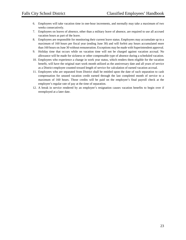- 6. Employees will take vacation time in one-hour increments, and normally may take a maximum of two weeks consecutively.
- 7. Employees on leaves of absence, other than a military leave of absence, are required to use all accrued vacation hours as part of the leave.
- 8. Employees are responsible for monitoring their current leave status. Employees may accumulate up to a maximum of 160 hours per fiscal year (ending June 30) and will forfeit any hours accumulated more than 160 hours on June 30 without remuneration. Exceptions may be made with Superintendent approval.
- 9. Holiday time that occurs while on vacation time will not be charged against vacation accrual. No allowance will be made for sickness or other compensable type of absence during a scheduled vacation.
- 10. Employees who experience a change in work year status, which renders them eligible for the vacation benefit, will have the original start work month utilized as the anniversary date and all years of service as a District employee counted toward length of service for calculation of earned vacation accrual.
- 11. Employees who are separated from District shall be entitled upon the date of such separation to cash compensation for unused vacation credit earned through the last completed month of service to a maximum of 160 hours. Those credits will be paid on the employee's final payroll check at the employee's regular rate of pay at the time of separation.
- 12. A break in service rendered by an employee's resignation causes vacation benefits to begin over if reemployed at a later date.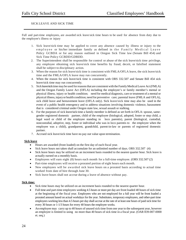## SICK LEAVE AND SICK TIME

Full and part-time employees, are awarded sick leave/sick time hours to be used for absence from duty due to the employee's illness or injury

- 1. Sick leave/sick time may be applied to cover any absence caused by illness or injury to the employee or his/her immediate family as defined in the Family Medical Leave Policy GCBDA or for any reason outlined in Oregon Sick Time law (Senate Bill 454) and Sick Time Policy GCBDD/GDBDD.
- 2. The Superintendent shall be responsible for control or abuse of the sick leave/sick time privilege, any employee obtaining sick leave/sick time benefits by fraud, deceit, or falsified statement shall be subject to disciplinary action.
- 3. When the reason for sick leave/sick time is consistent with FMLA/OFLA leave, the sick leave/sick time and the FMLA/OFLA leave may run concurrently.
- 4. When the reason for sick leave/sick time is consistent with ORS 332.507 and Senate Bill 454 sick leave/sick time may run concurrently.
- 5. Sick leave/sick time may be used for reasons that are consistent with the Family Medical Leave Act (FMLA) and the Oregon Family Leave Act (OFLA) including the employee's or family member's mental or physical illness, injury or health condition; need for medical diagnosis, care or treatment of a mental or physical illness, injuryor health condition; need for preventive care; parental leave (FMLA and OFLA), sick child leave and bereavement leave (OFLA only). Sick leave/sick time may also be used in the event of a public health emergency and to address situations involving domestic violence, harassment that is considered criminal under Oregon state law, sexual assault or stalking.
- 6. For the purposes of sick leave/sick time a family member is defined as set forth in OFLA: spouse, samegender registered domestic partner, child of the employee (biological, adopted, foster or step child, a legal ward or child of the employee standing in loco parentis), parent (biological, custodial, noncustodial, adoptive, step, foster or individual who was in loco parentis to the employee when the employee was a child), grandparent, grandchild, parent-in-law or parents of registered domestic partner.
- 7. Accrued sick leave/sick time have no pay out value upon termination.

#### **Sick leave**

- Hours are awarded (front loaded) on the first day of each fiscal year.
- Sick leave hours not taken shall accumulate for an unlimited number of days. ORS 332.507 (4)
- Sick leave hours may be utilized on an increment basis rounded to the nearest quarter hour. Sick leave is actually earned on a monthly basis.
- Employees will earn eight (8) hours each month for a full-time employee. (ORS 332.507 (2)
- Part-time employees will receive a prorated portion of eight hours each month.
- New employees will be awarded sick leave hours on a prorated basis according to actual time worked from date of hire through June 30.
- Sick leave hours shall not accrue during a leave of absence without pay.

#### **Sick time:**

- Sick time hours may be utilized on an increment basis rounded to the nearest quarter hour.
- Full time and part-time employees working 4.5 hours or more per day are front loaded 40 hours of sick time at the beginning of the fiscal year. Employees who are not employed for a full year will be front loaded a prorated amount based on actual workdays for the year. Substitutes, temporary employees, and other-part time employees working less than 4.5 hours per day shall accrue at the rate of at least one hours of paid sick time for every 30 hours or 1-1/3 hours for every 40 hours the employee works.
- An employee may carry up to 40 hours of unused sick time from one year to the subsequent year, however an employee is limited to using no more than 40 hours of sick time in a fiscal year. (OAR 839-007-0000 et. seq.)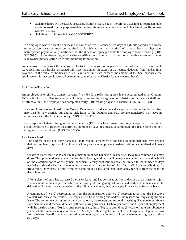- Sick time hours will be tracked separately from sick leave hours. Per SB 454, sick time is not transferable and is not used for the purpose of determining retirement benefits under the Public Employee Retirement System (PERS).
- Sick time shall follow Policy GCBDD/GDBDD

An employee who is absent from the job in excess of five (5) consecutive days or exhibits patterns of chronic or excessive absences may be required to furnish written verification of illness from a physician, naturopathic physician or practitioner that the illness or injury prevents the employee from working. (ORS 332.507 (3) Not withstanding said "written verification" patterns of chronic or excessive absenteeism may lead to disciplinary action up to and including termination.

An employee who leaves the employ of District, or who goes on unpaid leave and who has used more sick leave/sick time than he/she has earned will have the amount in excess of that earned deducted from his/her final paycheck. If the value of the unearned sick leave/sick time used exceeds the amount of the final paycheck, the employee or former employee shall be required to reimburse the District for the unearned benefit.

#### **Sick Leave Transfer**

An employee is eligible to transfer seventy-five (75) days (600 hours) sick leave accumulated in an Oregon K-12 school district. The transfer of sick leave from another Oregon school district to the District shall not be effective until the employee has completed thirty (30) working days with District. ORS 332.507 (4)

If an employee was employed by the Oregon Department of Education and accepts a position at the District they may transfer any accrued but unused sick leave to the District and may use the transferred sick leave in accordance with the Districts policy. ORS.326.113 (1).

For purposes of determining retirement benefits (PERS), a local governing body is required to permit a school employee to transfer an unlimited number of days of unused, accumulated sick leave from another Oregon district employer. (ORS 332.507 (5)

#### **Sick Leave Bank**

The purpose of the sick leave bank shall be to extend to members of the bank an additional sick leave beyond their accumulated days should an illness or injury cause an employee to exhaust his/her accumulated sick leave days.

Classified staff who wish to contribute a maximum of two (2) days of his/her sick leave to a common bank may do so. The option to donate to the bank for the following work year will be made available annually and included on the classified notice of assignment document. Yearly contributions shall be limited to the number of days needed to bring the bank to a maximum of two times the number of classified staff. Such contributions are irrevocable. Only classified staff who have contributed days to the bank may apply for days from the bank for that school year.

After a classified staff has exhausted their sick leave, and has certification from a doctor that an illness or injury is of a serious nature and prevents the teacher from performing assigned duties, and medical treatment cannot be delayed until the next vacation period or the following summer, they may apply for sick leave from the bank.

A committee of two (2) representatives from the administration and two (2) representatives from the Executive Council will review the request. The request will be in writing and address the reasons for requesting the sick leave. The committee will grant or deny by majority, the request and respond in writing. The maximum time a staff member can draw would be ten (10) days during any one (1) school year after one (1) year of employment with the district; twenty (20) days after two (2) years; thirty (30) days after three (3) years or more. In subsequent years that staff member may contribute two (2) days of their regular medical leave to again be eligible to draw from the bank. Benefits may be accessed intermittently, but are limited to a lifetime maximum aggregate of sixty (60) days.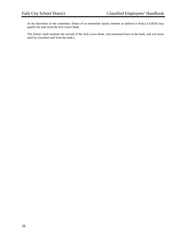At the discretion of the committee, illness of an immediate family member as defined in Policy GCBDA may qualify for time from the Sick Leave Bank.

The District shall maintain the records of the Sick Leave Bank. (Accumulated leave in the bank, and sick leave used by classified staff from the bank.)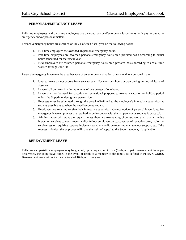## **PERSONAL/EMERGENCY LEAVE**

Full-time employees and part-time employees are awarded personal/emergency leave hours with pay to attend to emergency and/or personal matters.

Personal/emergency hours are awarded on July 1 of each fiscal year on the following basis:

- 1. Full-time employees are awarded 16 personal/emergency hours.
- 2. Part-time employees are awarded personal/emergency hours on a prorated basis according to actual hours scheduled for that fiscal year.
- 3. New employees are awarded personal/emergency hours on a prorated basis according to actual time worked through June 30.

Personal/emergency leave may be used because of an emergency situation or to attend to a personal matter:

- 1. Unused leave cannot accrue from year to year. Nor can such hours accrue during an unpaid leave of absence.
- 2. Leave shall be taken in minimum units of one quarter of one hour.
- 3. Leave shall not be used for vacation or recreational purposes to extend a vacation or holiday period unless the Superintendent grants permission.
- 4. Requests must be submitted through the portal ASAP and to the employee's immediate supervisor as soon as possible as to when the need becomes known.
- 5. Employees are required to give their immediate supervisor advance notice of personal leave days. For emergency leave employees are required to be in contact with their supervisor as soon as is practical.
- 6. Administration will grant the request unless there are extenuating circumstances that have an undue impact on services to constituents and/or fellow employees, e.g., coverage of reception area, major inservice session requiring support, inclement weather condition requiring maintenance support, etc. If the request is denied, the employee will have the right of appeal to the Superintendent, if applicable.

## **BEREAVEMENT LEAVE**

Full-time and part-time employees may be granted, upon request, up to five (5) days of paid bereavement leave per occurrence, including travel time, in the event of death of a member of the family as defined in **Policy GCBDA**. Bereavement leave will not exceed a total of 10 days in one year.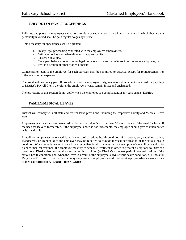## **JURY DUTY/LEGAL PROCEEDINGS**

Full-time and part-time employees called for jury duty or subpoenaed, as a witness in matters in which they are not personally involved shall be paid regular wages by District.

Time necessary for appearances shall be granted:

- 1. In any legal proceeding connected with the employee's employment,
- 2. With a school system when directed to appear by District,
- 3. To serve on a jury,
- 4. To appear before a court or other legal body as a disinterested witness in response to a subpoena, or
- 5. By the direction of other proper authority.

Compensation paid to the employee for such services shall be submitted to District, except for reimbursement for mileage and other expenses.

The usual and customary payroll procedure is for the employee to sign/endorse/submit checks received for jury duty to District's Payroll Clerk; therefore, the employee's wages remain intact and unchanged.

The provisions of this section do not apply when the employee is a complainant in any case against District.

## **FAMILY/MEDICAL LEAVES**

District will comply with all state and federal leave provisions, including the respective Family and Medical Leave Acts.

Employees who want to take leave ordinarily must provide District at least 30 days' notice of the need for leave, if the need for leave is foreseeable. If the employee's need is not foreseeable, the employee should give as much notice as is practicable.

In addition, employees who need leave because of a serious health condition of a spouse, son, daughter, parent, grandparent, or grandchild of the employee may be required to provide medical certification of the serious health condition. When leave is needed to care for an immediate family member or for the employee's own illness and is for planned medical treatment the employee must try to schedule treatment in order to prevent disruptions to District's operations. District also may require a second or third opinion (at District's expense), periodic re-certifications of the serious health condition, and, when the leave is a result of the employee's own serious health condition, a "Fitness for Duty Report" to return to work. District may deny leave to employees who do not provide proper advance leave notice or medical certification. (**Board Policy GCBDA)**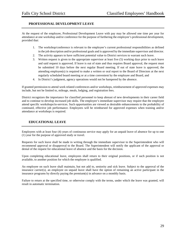## **PROFESSIONAL DEVELOPMENT LEAVE**

At the request of the employee, Professional Development Leave with pay may be allowed one time per year for attendance at one workshop and/or conference for the purpose of furthering the employee's professional development, provided that:

- 1. The workshop/conference is relevant to the employee's current professional responsibilities as defined in the job description and/or professional goals and is approved by the immediate supervisor and director.
- 2. The activity appears to have sufficient potential value to District services to warrant such leave.
- 3. Written request is given to the appropriate supervisor at least five (5) working days prior to such leave and said request is approved. If leave is out of state and thus requires Board approval, the request must be submitted 10 days before the next regular Board meeting. If out of state leave is approved, the attending employee(s) is required to make a written or oral report to the Board of Directors at the next regularly scheduled board meeting or at a time convenient by the employee and Board, and
- 4. In District's judgment, agency operations would not be hampered by the absence.

If granted permission to attend work related conferences and/or workshops, reimbursement of approved expenses may include, but not be limited to, mileage, meals, lodging, and registration fees.

District recognizes the importance for classified personnel to keep abreast of new developments in their career field and to continue to develop increased job skills. The employee's immediate supervisor may require that the employee attend specific workshops/in-services. Such opportunities are viewed as desirable enhancements to the probability of continued, effective job performance. Employees will be reimbursed for approved expenses when training and/or attendance at workshops is required.

## **EDUCATIONAL LEAVE**

Employees with at least four (4) years of continuous service may apply for an unpaid leave of absence for up to one (1) year for the purpose of approved study or travel.

Requests for such leave shall be made in writing through the immediate supervisor to the Superintendent who will recommend approval or disapproval to the Board. The Superintendent will notify the applicant of the approval or denial of the request for educational leave of absence and the basis for the decision.

Upon completing educational leave, employees shall return to their original positions, or if such position is not available, to another position for which the employee is qualified.

An employee on such leave shall maintain, but not add to, seniority and sick leave. Subject to the approval of the insurance carrier(s), an employee on unpaid leave shall have the option of remaining an active participant in the insurance programs by directly paying the premium(s) in advance on a monthly basis.

Failure to return at the specified time, or otherwise comply with the terms, under which the leave was granted, will result in automatic termination.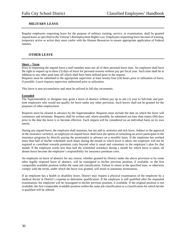## **MILITARY LEAVE**

Regular employees requesting leave for the purpose of military training, service, or examination, shall be granted unpaid leave as specified in the Veteran's Reemployment Rights Law. Employees requesting leave because of training, temporary active or active duty must confer with the Human Resources to ensure appropriate application of Federal statutes.

#### **OTHER LEAVE**

#### **Short – Term**

Prior to requesting the unpaid leave a staff member must use all of their personal leave time. An employee shall have the right to request up to three (3) days of leave for personal reasons without pay per fiscal year. Such time shall be in addition to any other paid time off which shall have been utilized prior to the request.

Requests must be submitted to the appropriate supervisor at least twenty-four (24) hours prior to utilization of leave, if possible. Leave requires supervisor authorized prior to utilization.

This leave is non-accumulative and must be utilized in full-day increments.

#### **Extended**

The Superintendent, or designee may grant a leave of absence without pay up to one (1) year to full-time and parttime employees who would not qualify for leave under any other provision. Such leaves shall not be granted for the purposes of other employment.

Requests must be cleared in advance by the Superintendent. Requests must include the date on which the leave will commence and terminate. Requests shall be written and, where possible, be submitted not later than ninety (90) days prior to the date the leave is to become effective. Each request will be considered on an individual basis on its own merits.

During any unpaid leave, the employee shall maintain, but not add to, seniority and sick leave. Subject to the approval of the insurance carrier(s), an employee on unpaid leave shall have the option of remaining an active participant in the insurance programs by directly paying the premium(s) in advance on a monthly basis. If the employee has worked more than half of his/her scheduled work hours during the month in which leave is taken, the employee will not be required to contribute towards premium costs beyond what is usual and customary to the employee's plan for that month. If the employee works less than half the scheduled workdays during a month for which leave is taken, all absent hours become the employee's responsibility for insurance premium costs.

An employee on leave of absence for any reason, whether granted by District under the above provision or by some other legally required leave of absence, will be reassigned to his/her previous position, if available, or the first comparable available position within the same job classification. Failure to return at the specified time, or otherwise comply with the terms, under which the leave was granted, will result in automatic termination.

If an employee has a health or disability leave, District may request a physical examination of the employee by a medical doctor at District's expense to determine qualification. If the employee is still qualified after the requested examination, the employee will be reassigned to his/her previous position, if available. If the original position is not available, the first comparable available position within the same job classification or a classification for which he/she is qualified will be offered.